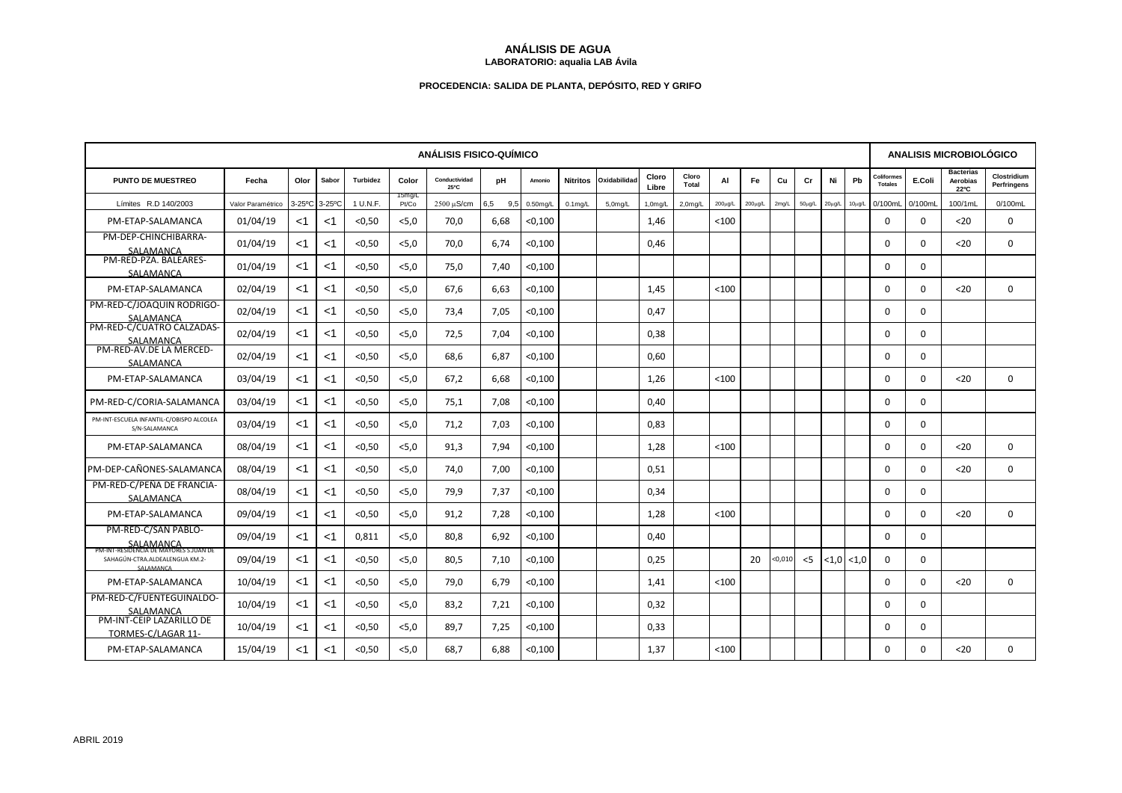## **ANÁLISIS DE AGUA LABORATORIO: aqualia LAB Ávila**

## **PROCEDENCIA: SALIDA DE PLANTA, DEPÓSITO, RED Y GRIFO**

| <b>ANÁLISIS FISICO-QUÍMICO</b>                                             |                   |                       |        |                 |                 |                       |            |             |                 |              |                |                       |              |               | ANALISIS MICROBIOLÓGICO |             |                               |             |                                     |          |                                      |                            |
|----------------------------------------------------------------------------|-------------------|-----------------------|--------|-----------------|-----------------|-----------------------|------------|-------------|-----------------|--------------|----------------|-----------------------|--------------|---------------|-------------------------|-------------|-------------------------------|-------------|-------------------------------------|----------|--------------------------------------|----------------------------|
| PUNTO DE MUESTREO                                                          | Fecha             | Olor                  | Sabor  | <b>Turbidez</b> | Color           | Conductividad<br>25°C | рH         | Amonio      | <b>Nitritos</b> | Oxidabilidad | Cloro<br>Libre | Cloro<br><b>Total</b> | AI           | Fe            | Cu                      | Cr          | Ni                            | Pb          | <b>Coliformes</b><br><b>Totales</b> | E.Coli   | <b>Bacterias</b><br>Aerobias<br>22°C | Clostridium<br>Perfringens |
| Límites R.D 140/2003                                                       | Valor Paramétrico | $3-25$ <sup>o</sup> C | 3-25°C | 1 U.N.F.        | 15mg/L<br>Pt/Co | 2500 µS/cm            | 6,5<br>9,5 | $0.50$ mg/L | $0.1$ mg/L      | $5.0$ mg/L   | $1,0$ mg/L     | 2.0 <sub>m</sub> q/L  | $200\mu g/L$ | $200 \mu g/L$ | 2mg/L                   | $50\mu$ g/L | $20\mu$ g/L                   | $10\mu g/L$ | 0/100mL                             | 0/100mL  | 100/1mL                              | 0/100mL                    |
| PM-ETAP-SALAMANCA                                                          | 01/04/19          | $<$ 1                 | $<$ 1  | < 0.50          | < 5.0           | 70,0                  | 6,68       | < 0,100     |                 |              | 1,46           |                       | < 100        |               |                         |             |                               |             | $\Omega$                            | $\Omega$ | $20$                                 | $\Omega$                   |
| PM-DEP-CHINCHIBARRA-<br>SALAMANCA                                          | 01/04/19          | $<$ 1                 | <1     | < 0.50          | 5.0             | 70.0                  | 6.74       | < 0.100     |                 |              | 0.46           |                       |              |               |                         |             |                               |             | $\Omega$                            | $\Omega$ | $20$                                 | $\Omega$                   |
| PM-RED-PZA. BALEARES-<br>SALAMANCA                                         | 01/04/19          | $<$ 1                 | <1     | < 0.50          | < 5.0           | 75,0                  | 7,40       | < 0,100     |                 |              |                |                       |              |               |                         |             |                               |             | $\Omega$                            | $\Omega$ |                                      |                            |
| PM-ETAP-SALAMANCA                                                          | 02/04/19          | $<$ 1                 | $<$ 1  | < 0.50          | < 5.0           | 67.6                  | 6.63       | < 0.100     |                 |              | 1,45           |                       | < 100        |               |                         |             |                               |             | $\Omega$                            | $\Omega$ | $20$                                 | $\mathbf 0$                |
| PM-RED-C/JOAQUIN RODRIGO-<br>SALAMANCA                                     | 02/04/19          | $<$ 1                 | $<$ 1  | < 0.50          | < 5, 0          | 73,4                  | 7,05       | < 0,100     |                 |              | 0,47           |                       |              |               |                         |             |                               |             | $\mathbf 0$                         | $\Omega$ |                                      |                            |
| PM-RED-C/CUATRO CALZADAS-<br>SALAMANCA                                     | 02/04/19          | $<$ 1                 | $<$ 1  | < 0.50          | < 5.0           | 72,5                  | 7,04       | < 0,100     |                 |              | 0.38           |                       |              |               |                         |             |                               |             | $\Omega$                            | $\Omega$ |                                      |                            |
| PM-RED-AV.DE LA MERCED-<br>SALAMANCA                                       | 02/04/19          | $<$ 1                 | $<$ 1  | < 0.50          | < 5.0           | 68,6                  | 6,87       | < 0,100     |                 |              | 0,60           |                       |              |               |                         |             |                               |             | $\Omega$                            | $\Omega$ |                                      |                            |
| PM-ETAP-SALAMANCA                                                          | 03/04/19          | $<$ 1                 | $<$ 1  | < 0.50          | < 5.0           | 67.2                  | 6,68       | < 0,100     |                 |              | 1.26           |                       | < 100        |               |                         |             |                               |             | $\Omega$                            | $\Omega$ | 20                                   | $\Omega$                   |
| PM-RED-C/CORIA-SALAMANCA                                                   | 03/04/19          | $<$ 1                 | <1     | < 0.50          | < 5.0           | 75.1                  | 7,08       | < 0,100     |                 |              | 0.40           |                       |              |               |                         |             |                               |             | 0                                   | $\Omega$ |                                      |                            |
| PM-INT-ESCUELA INFANTIL-C/OBISPO ALCOLEA<br>S/N-SALAMANCA                  | 03/04/19          | $<$ 1                 | $<$ 1  | < 0.50          | 5.0             | 71,2                  | 7.03       | < 0.100     |                 |              | 0.83           |                       |              |               |                         |             |                               |             | 0                                   | $\Omega$ |                                      |                            |
| PM-ETAP-SALAMANCA                                                          | 08/04/19          | $<$ 1                 | $<$ 1  | < 0.50          | < 5.0           | 91,3                  | 7,94       | < 0,100     |                 |              | 1,28           |                       | < 100        |               |                         |             |                               |             | $\Omega$                            | $\Omega$ | $20$                                 | $\mathbf 0$                |
| PM-DEP-CAÑONES-SALAMANCA                                                   | 08/04/19          | $<$ 1                 | $<$ 1  | < 0.50          | < 5.0           | 74,0                  | 7,00       | < 0,100     |                 |              | 0,51           |                       |              |               |                         |             |                               |             | $\Omega$                            | $\Omega$ | $20$                                 | $\mathbf 0$                |
| PM-RED-C/PEÑA DE FRANCIA-<br>SALAMANCA                                     | 08/04/19          | $<$ 1                 | $<$ 1  | < 0.50          | < 5.0           | 79,9                  | 7,37       | < 0,100     |                 |              | 0,34           |                       |              |               |                         |             |                               |             | $\Omega$                            | $\Omega$ |                                      |                            |
| PM-ETAP-SALAMANCA                                                          | 09/04/19          | $<$ 1                 | $<$ 1  | < 0.50          | < 5.0           | 91.2                  | 7.28       | < 0.100     |                 |              | 1.28           |                       | < 100        |               |                         |             |                               |             | $\Omega$                            | $\Omega$ | 20                                   | $\Omega$                   |
| PM-RED-C/SAN PABLO-<br>SALAMANCA<br>PM-INT-RESIDENCIA DE MAYORES S.JUAN DE | 09/04/19          | $<$ 1                 | <1     | 0,811           | < 5.0           | 80.8                  | 6.92       | < 0,100     |                 |              | 0.40           |                       |              |               |                         |             |                               |             | $\Omega$                            | $\Omega$ |                                      |                            |
| SAHAGÚN-CTRA.ALDEALENGUA KM.2-<br>SALAMANCA                                | 09/04/19          | $<$ 1                 | $<$ 1  | < 0.50          | < 5.0           | 80.5                  | 7.10       | < 0,100     |                 |              | 0,25           |                       |              | 20            | < 0,010                 | $<$ 5       | $\langle 1, 0   1, 0 \rangle$ |             | $\Omega$                            | $\Omega$ |                                      |                            |
| PM-ETAP-SALAMANCA                                                          | 10/04/19          | $<$ 1                 | $<$ 1  | < 0.50          | < 5.0           | 79.0                  | 6.79       | < 0,100     |                 |              | 1.41           |                       | < 100        |               |                         |             |                               |             | $\mathbf 0$                         | $\Omega$ | $20$                                 | $\mathbf 0$                |
| PM-RED-C/FUENTEGUINALDO-<br>SALAMANCA                                      | 10/04/19          | $<$ 1                 | <1     | < 0.50          | < 5.0           | 83,2                  | 7,21       | < 0,100     |                 |              | 0,32           |                       |              |               |                         |             |                               |             | 0                                   | $\Omega$ |                                      |                            |
| PM-INT-CEIP LAZARILLO DE<br>TORMES-C/LAGAR 11-                             | 10/04/19          | $<$ 1                 | $<$ 1  | < 0.50          | < 5.0           | 89,7                  | 7,25       | < 0,100     |                 |              | 0,33           |                       |              |               |                         |             |                               |             | $\Omega$                            | $\Omega$ |                                      |                            |
| PM-ETAP-SALAMANCA                                                          | 15/04/19          | $<$ 1                 | $<$ 1  | < 0.50          | < 5.0           | 68,7                  | 6,88       | < 0,100     |                 |              | 1,37           |                       | < 100        |               |                         |             |                               |             | 0                                   | $\Omega$ | $20$                                 | $\mathbf 0$                |